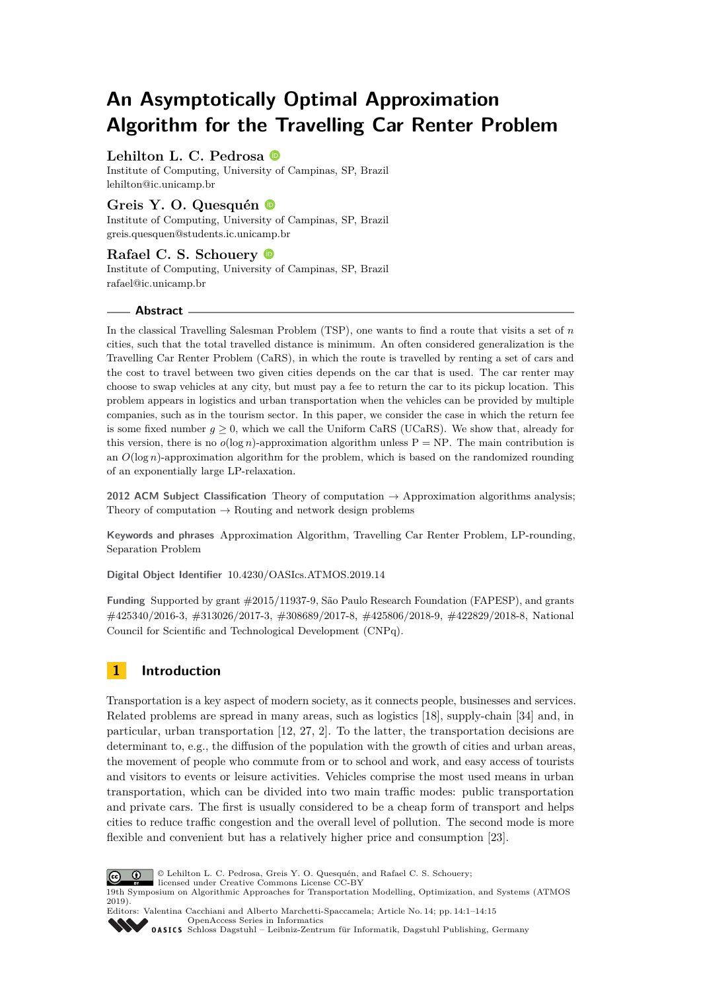# **An Asymptotically Optimal Approximation Algorithm for the Travelling Car Renter Problem**

# **Lehilton L. C. Pedrosa**

Institute of Computing, University of Campinas, SP, Brazil [lehilton@ic.unicamp.br](mailto:lehilton@ic.unicamp.br)

# **Greis Y. O. Quesquén**

Institute of Computing, University of Campinas, SP, Brazil [greis.quesquen@students.ic.unicamp.br](mailto:greis.quesquen@students.ic.unicamp.br)

# **Rafael C. S. Schouery**

Institute of Computing, University of Campinas, SP, Brazil [rafael@ic.unicamp.br](mailto:rafael@ic.unicamp.br)

## **Abstract**

In the classical Travelling Salesman Problem (TSP), one wants to find a route that visits a set of *n* cities, such that the total travelled distance is minimum. An often considered generalization is the Travelling Car Renter Problem (CaRS), in which the route is travelled by renting a set of cars and the cost to travel between two given cities depends on the car that is used. The car renter may choose to swap vehicles at any city, but must pay a fee to return the car to its pickup location. This problem appears in logistics and urban transportation when the vehicles can be provided by multiple companies, such as in the tourism sector. In this paper, we consider the case in which the return fee is some fixed number  $g \ge 0$ , which we call the Uniform CaRS (UCaRS). We show that, already for this version, there is no  $o(\log n)$ -approximation algorithm unless  $P = NP$ . The main contribution is an *O*(log *n*)-approximation algorithm for the problem, which is based on the randomized rounding of an exponentially large LP-relaxation.

**2012 ACM Subject Classification** Theory of computation → Approximation algorithms analysis; Theory of computation  $\rightarrow$  Routing and network design problems

**Keywords and phrases** Approximation Algorithm, Travelling Car Renter Problem, LP-rounding, Separation Problem

**Digital Object Identifier** [10.4230/OASIcs.ATMOS.2019.14](https://doi.org/10.4230/OASIcs.ATMOS.2019.14)

**Funding** Supported by grant #2015/11937-9, São Paulo Research Foundation (FAPESP), and grants #425340/2016-3, #313026/2017-3, #308689/2017-8, #425806/2018-9, #422829/2018-8, National Council for Scientific and Technological Development (CNPq).

# **1 Introduction**

Transportation is a key aspect of modern society, as it connects people, businesses and services. Related problems are spread in many areas, such as logistics [\[18\]](#page-13-0), supply-chain [\[34\]](#page-14-0) and, in particular, urban transportation [\[12,](#page-12-0) [27,](#page-13-1) [2\]](#page-12-1). To the latter, the transportation decisions are determinant to, e.g., the diffusion of the population with the growth of cities and urban areas, the movement of people who commute from or to school and work, and easy access of tourists and visitors to events or leisure activities. Vehicles comprise the most used means in urban transportation, which can be divided into two main traffic modes: public transportation and private cars. The first is usually considered to be a cheap form of transport and helps cities to reduce traffic congestion and the overall level of pollution. The second mode is more flexible and convenient but has a relatively higher price and consumption [\[23\]](#page-13-2).



© Lehilton L. C. Pedrosa, Greis Y. O. Quesquén, and Rafael C. S. Schouery;

licensed under Creative Commons License CC-BY 19th Symposium on Algorithmic Approaches for Transportation Modelling, Optimization, and Systems (ATMOS 2019).

Editors: Valentina Cacchiani and Alberto Marchetti-Spaccamela; Article No. 14; pp. 14:1–14[:15](#page-14-1) [OpenAccess Series in Informatics](https://www.dagstuhl.de/oasics/)

OASICS [Schloss Dagstuhl – Leibniz-Zentrum für Informatik, Dagstuhl Publishing, Germany](https://www.dagstuhl.de)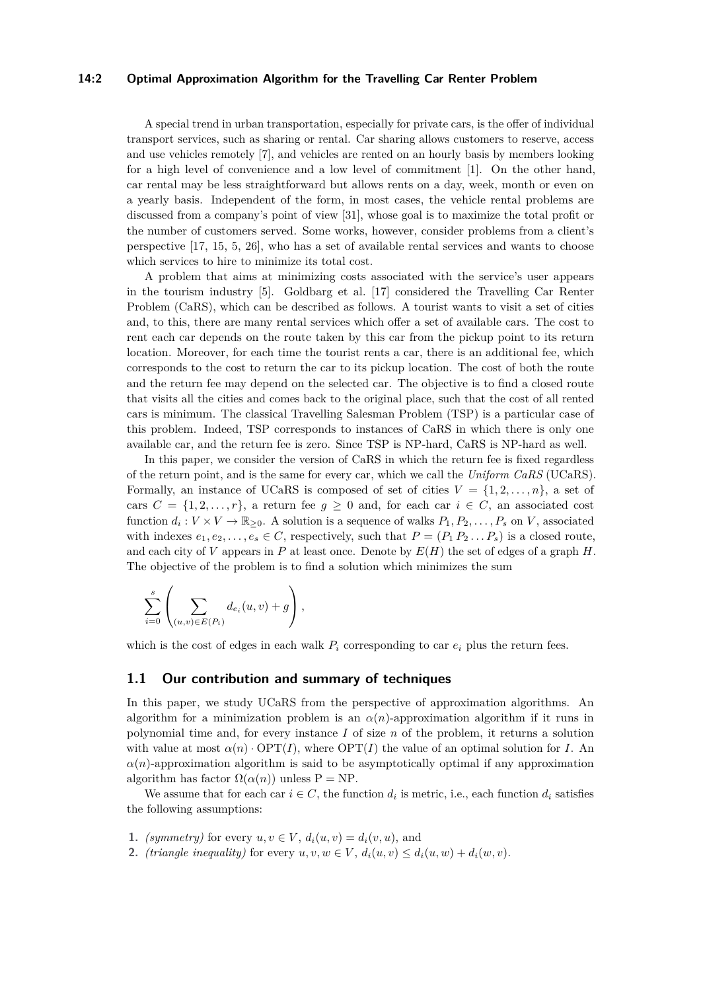#### **14:2 Optimal Approximation Algorithm for the Travelling Car Renter Problem**

A special trend in urban transportation, especially for private cars, is the offer of individual transport services, such as sharing or rental. Car sharing allows customers to reserve, access and use vehicles remotely [\[7\]](#page-12-2), and vehicles are rented on an hourly basis by members looking for a high level of convenience and a low level of commitment [\[1\]](#page-12-3). On the other hand, car rental may be less straightforward but allows rents on a day, week, month or even on a yearly basis. Independent of the form, in most cases, the vehicle rental problems are discussed from a company's point of view [\[31\]](#page-13-3), whose goal is to maximize the total profit or the number of customers served. Some works, however, consider problems from a client's perspective [\[17,](#page-13-4) [15,](#page-12-4) [5,](#page-12-5) [26\]](#page-13-5), who has a set of available rental services and wants to choose which services to hire to minimize its total cost.

A problem that aims at minimizing costs associated with the service's user appears in the tourism industry [\[5\]](#page-12-5). Goldbarg et al. [\[17\]](#page-13-4) considered the Travelling Car Renter Problem (CaRS), which can be described as follows. A tourist wants to visit a set of cities and, to this, there are many rental services which offer a set of available cars. The cost to rent each car depends on the route taken by this car from the pickup point to its return location. Moreover, for each time the tourist rents a car, there is an additional fee, which corresponds to the cost to return the car to its pickup location. The cost of both the route and the return fee may depend on the selected car. The objective is to find a closed route that visits all the cities and comes back to the original place, such that the cost of all rented cars is minimum. The classical Travelling Salesman Problem (TSP) is a particular case of this problem. Indeed, TSP corresponds to instances of CaRS in which there is only one available car, and the return fee is zero. Since TSP is NP-hard, CaRS is NP-hard as well.

In this paper, we consider the version of CaRS in which the return fee is fixed regardless of the return point, and is the same for every car, which we call the *Uniform CaRS* (UCaRS). Formally, an instance of UCaRS is composed of set of cities  $V = \{1, 2, \ldots, n\}$ , a set of cars  $C = \{1, 2, ..., r\}$ , a return fee  $g \ge 0$  and, for each car  $i \in C$ , an associated cost function  $d_i: V \times V \to \mathbb{R}_{\geq 0}$ . A solution is a sequence of walks  $P_1, P_2, \ldots, P_s$  on *V*, associated with indexes  $e_1, e_2, \ldots, e_s \in C$ , respectively, such that  $P = (P_1 P_2 \ldots P_s)$  is a closed route, and each city of *V* appears in *P* at least once. Denote by  $E(H)$  the set of edges of a graph *H*. The objective of the problem is to find a solution which minimizes the sum

$$
\sum_{i=0}^s \left( \sum_{(u,v)\in E(P_i)} d_{e_i}(u,v) + g \right),\,
$$

which is the cost of edges in each walk  $P_i$  corresponding to car  $e_i$  plus the return fees.

### **1.1 Our contribution and summary of techniques**

In this paper, we study UCaRS from the perspective of approximation algorithms. An algorithm for a minimization problem is an  $\alpha(n)$ -approximation algorithm if it runs in polynomial time and, for every instance *I* of size *n* of the problem, it returns a solution with value at most  $\alpha(n)$  · OPT(*I*), where OPT(*I*) the value of an optimal solution for *I*. An  $\alpha(n)$ -approximation algorithm is said to be asymptotically optimal if any approximation algorithm has factor  $\Omega(\alpha(n))$  unless P = NP.

We assume that for each car  $i \in C$ , the function  $d_i$  is metric, i.e., each function  $d_i$  satisfies the following assumptions:

- **1.** *(symmetry)* for every  $u, v \in V$ ,  $d_i(u, v) = d_i(v, u)$ , and
- **2.** *(triangle inequality)* for every  $u, v, w \in V$ ,  $d_i(u, v) \leq d_i(u, w) + d_i(w, v)$ .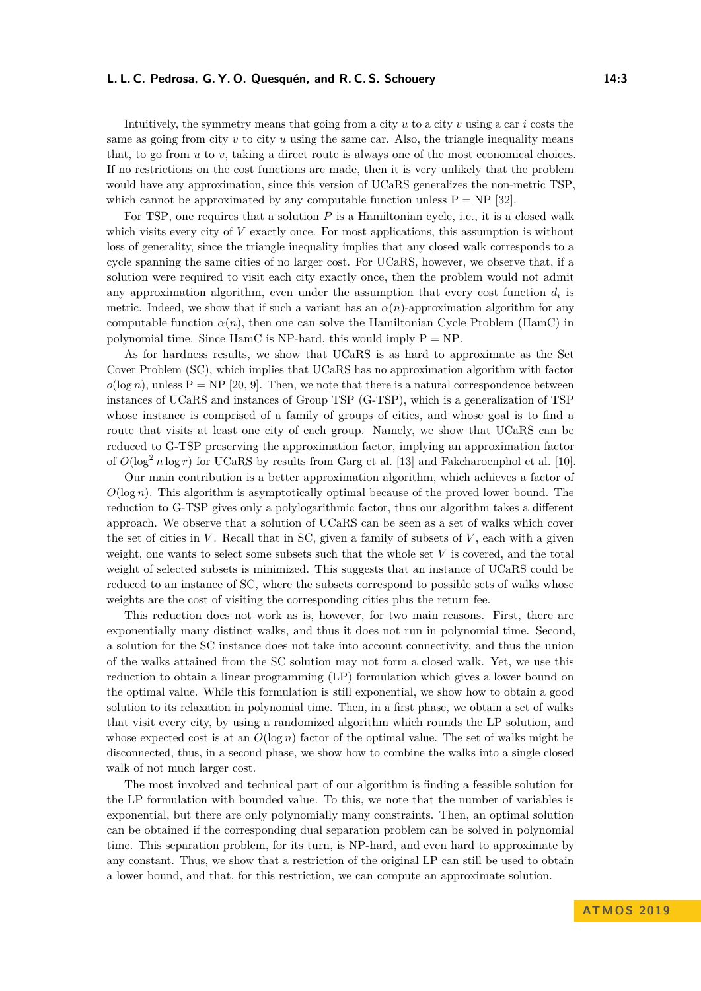Intuitively, the symmetry means that going from a city *u* to a city *v* using a car *i* costs the same as going from city *v* to city *u* using the same car. Also, the triangle inequality means that, to go from *u* to *v*, taking a direct route is always one of the most economical choices. If no restrictions on the cost functions are made, then it is very unlikely that the problem would have any approximation, since this version of UCaRS generalizes the non-metric TSP, which cannot be approximated by any computable function unless  $P = NP$  [\[32\]](#page-13-6).

For TSP, one requires that a solution P is a Hamiltonian cycle, i.e., it is a closed walk which visits every city of *V* exactly once. For most applications, this assumption is without loss of generality, since the triangle inequality implies that any closed walk corresponds to a cycle spanning the same cities of no larger cost. For UCaRS, however, we observe that, if a solution were required to visit each city exactly once, then the problem would not admit any approximation algorithm, even under the assumption that every cost function  $d_i$  is metric. Indeed, we show that if such a variant has an  $\alpha(n)$ -approximation algorithm for any computable function  $\alpha(n)$ , then one can solve the Hamiltonian Cycle Problem (HamC) in polynomial time. Since  $HamC$  is NP-hard, this would imply  $P = NP$ .

As for hardness results, we show that UCaRS is as hard to approximate as the Set Cover Problem (SC), which implies that UCaRS has no approximation algorithm with factor  $o(\log n)$ , unless  $P = NP$  [\[20,](#page-13-7) [9\]](#page-12-6). Then, we note that there is a natural correspondence between instances of UCaRS and instances of Group TSP (G-TSP), which is a generalization of TSP whose instance is comprised of a family of groups of cities, and whose goal is to find a route that visits at least one city of each group. Namely, we show that UCaRS can be reduced to G-TSP preserving the approximation factor, implying an approximation factor of  $O(\log^2 n \log r)$  for UCaRS by results from Garg et al. [\[13\]](#page-12-7) and Fakcharoenphol et al. [\[10\]](#page-12-8).

Our main contribution is a better approximation algorithm, which achieves a factor of *O*(log *n*). This algorithm is asymptotically optimal because of the proved lower bound. The reduction to G-TSP gives only a polylogarithmic factor, thus our algorithm takes a different approach. We observe that a solution of UCaRS can be seen as a set of walks which cover the set of cities in  $V$ . Recall that in SC, given a family of subsets of  $V$ , each with a given weight, one wants to select some subsets such that the whole set *V* is covered, and the total weight of selected subsets is minimized. This suggests that an instance of UCaRS could be reduced to an instance of SC, where the subsets correspond to possible sets of walks whose weights are the cost of visiting the corresponding cities plus the return fee.

This reduction does not work as is, however, for two main reasons. First, there are exponentially many distinct walks, and thus it does not run in polynomial time. Second, a solution for the SC instance does not take into account connectivity, and thus the union of the walks attained from the SC solution may not form a closed walk. Yet, we use this reduction to obtain a linear programming (LP) formulation which gives a lower bound on the optimal value. While this formulation is still exponential, we show how to obtain a good solution to its relaxation in polynomial time. Then, in a first phase, we obtain a set of walks that visit every city, by using a randomized algorithm which rounds the LP solution, and whose expected cost is at an  $O(\log n)$  factor of the optimal value. The set of walks might be disconnected, thus, in a second phase, we show how to combine the walks into a single closed walk of not much larger cost.

The most involved and technical part of our algorithm is finding a feasible solution for the LP formulation with bounded value. To this, we note that the number of variables is exponential, but there are only polynomially many constraints. Then, an optimal solution can be obtained if the corresponding dual separation problem can be solved in polynomial time. This separation problem, for its turn, is NP-hard, and even hard to approximate by any constant. Thus, we show that a restriction of the original LP can still be used to obtain a lower bound, and that, for this restriction, we can compute an approximate solution.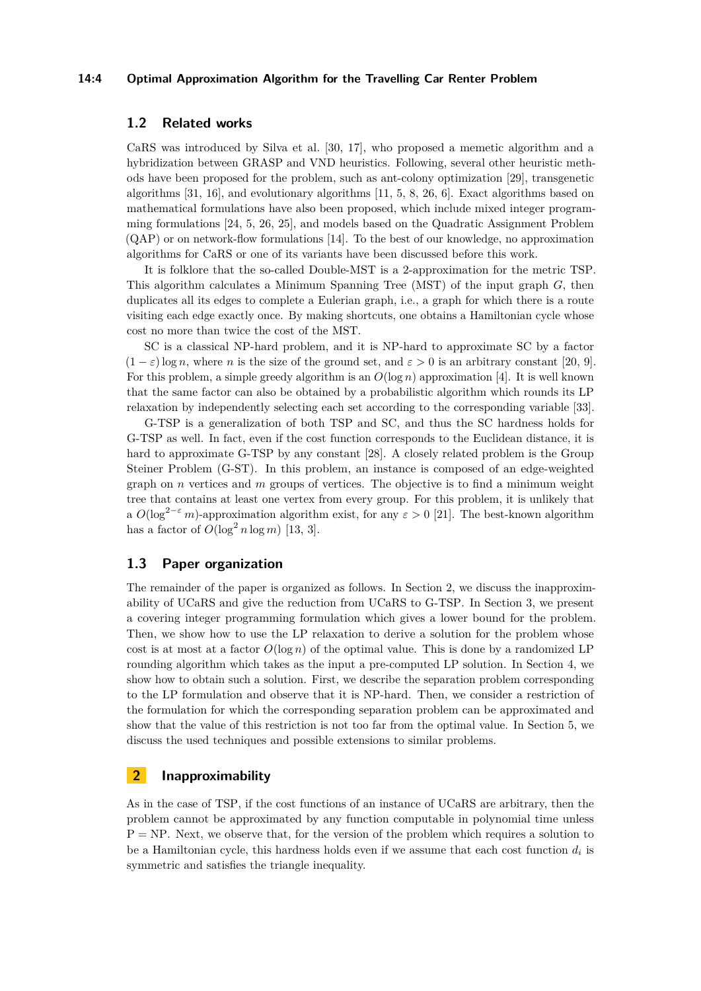#### **14:4 Optimal Approximation Algorithm for the Travelling Car Renter Problem**

## **1.2 Related works**

CaRS was introduced by Silva et al. [\[30,](#page-13-8) [17\]](#page-13-4), who proposed a memetic algorithm and a hybridization between GRASP and VND heuristics. Following, several other heuristic methods have been proposed for the problem, such as ant-colony optimization [\[29\]](#page-13-9), transgenetic algorithms [\[31,](#page-13-3) [16\]](#page-13-10), and evolutionary algorithms [\[11,](#page-12-9) [5,](#page-12-5) [8,](#page-12-10) [26,](#page-13-5) [6\]](#page-12-11). Exact algorithms based on mathematical formulations have also been proposed, which include mixed integer programming formulations [\[24,](#page-13-11) [5,](#page-12-5) [26,](#page-13-5) [25\]](#page-13-12), and models based on the Quadratic Assignment Problem (QAP) or on network-flow formulations [\[14\]](#page-12-12). To the best of our knowledge, no approximation algorithms for CaRS or one of its variants have been discussed before this work.

It is folklore that the so-called Double-MST is a 2-approximation for the metric TSP. This algorithm calculates a Minimum Spanning Tree (MST) of the input graph *G*, then duplicates all its edges to complete a Eulerian graph, i.e., a graph for which there is a route visiting each edge exactly once. By making shortcuts, one obtains a Hamiltonian cycle whose cost no more than twice the cost of the MST.

SC is a classical NP-hard problem, and it is NP-hard to approximate SC by a factor  $(1 - \varepsilon) \log n$ , where *n* is the size of the ground set, and  $\varepsilon > 0$  is an arbitrary constant [\[20,](#page-13-7) [9\]](#page-12-6). For this problem, a simple greedy algorithm is an *O*(log *n*) approximation [\[4\]](#page-12-13). It is well known that the same factor can also be obtained by a probabilistic algorithm which rounds its LP relaxation by independently selecting each set according to the corresponding variable [\[33\]](#page-14-2).

G-TSP is a generalization of both TSP and SC, and thus the SC hardness holds for G-TSP as well. In fact, even if the cost function corresponds to the Euclidean distance, it is hard to approximate G-TSP by any constant [\[28\]](#page-13-13). A closely related problem is the Group Steiner Problem (G-ST). In this problem, an instance is composed of an edge-weighted graph on *n* vertices and *m* groups of vertices. The objective is to find a minimum weight tree that contains at least one vertex from every group. For this problem, it is unlikely that a  $O(\log^{2-\epsilon} m)$ -approximation algorithm exist, for any  $\epsilon > 0$  [\[21\]](#page-13-14). The best-known algorithm has a factor of  $O(\log^2 n \log m)$  [\[13,](#page-12-7) [3\]](#page-12-14).

## **1.3 Paper organization**

The remainder of the paper is organized as follows. In Section [2,](#page-3-0) we discuss the inapproximability of UCaRS and give the reduction from UCaRS to G-TSP. In Section [3,](#page-4-0) we present a covering integer programming formulation which gives a lower bound for the problem. Then, we show how to use the LP relaxation to derive a solution for the problem whose cost is at most at a factor  $O(\log n)$  of the optimal value. This is done by a randomized LP rounding algorithm which takes as the input a pre-computed LP solution. In Section [4,](#page-9-0) we show how to obtain such a solution. First, we describe the separation problem corresponding to the LP formulation and observe that it is NP-hard. Then, we consider a restriction of the formulation for which the corresponding separation problem can be approximated and show that the value of this restriction is not too far from the optimal value. In Section [5,](#page-11-0) we discuss the used techniques and possible extensions to similar problems.

# <span id="page-3-0"></span>**2 Inapproximability**

As in the case of TSP, if the cost functions of an instance of UCaRS are arbitrary, then the problem cannot be approximated by any function computable in polynomial time unless  $P = NP$ . Next, we observe that, for the version of the problem which requires a solution to be a Hamiltonian cycle, this hardness holds even if we assume that each cost function  $d_i$  is symmetric and satisfies the triangle inequality.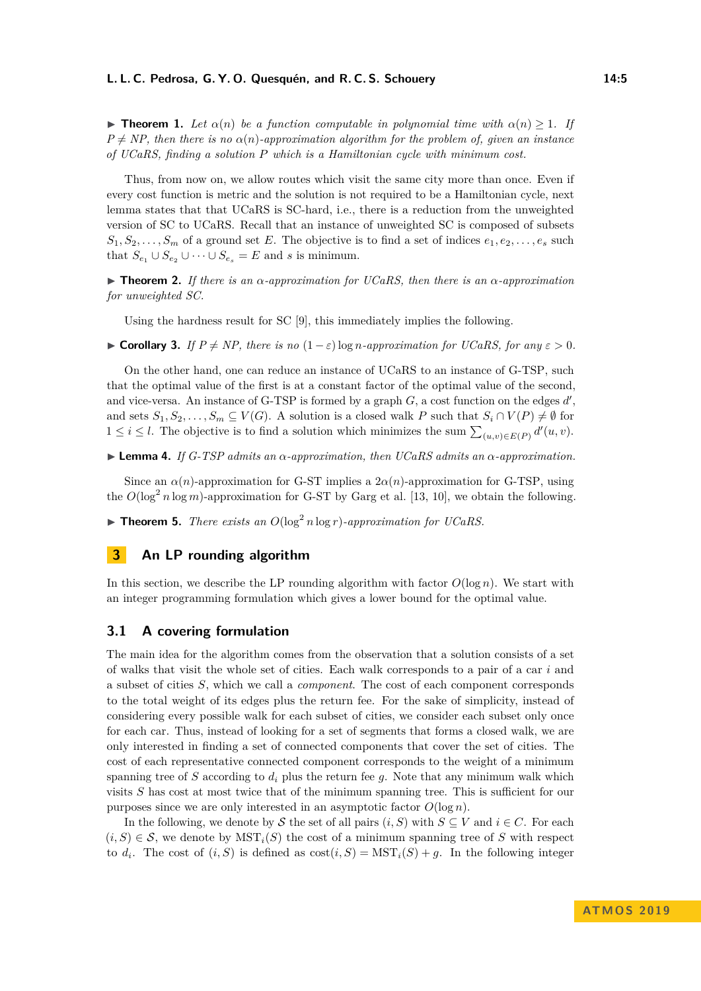**Find 1.** *Let*  $\alpha(n)$  *be a function computable in polynomial time with*  $\alpha(n) > 1$ *. If*  $P \neq NP$ , then there is no  $\alpha(n)$ *-approximation algorithm for the problem of, given an instance of UCaRS, finding a solution P which is a Hamiltonian cycle with minimum cost.*

Thus, from now on, we allow routes which visit the same city more than once. Even if every cost function is metric and the solution is not required to be a Hamiltonian cycle, next lemma states that that UCaRS is SC-hard, i.e., there is a reduction from the unweighted version of SC to UCaRS. Recall that an instance of unweighted SC is composed of subsets  $S_1, S_2, \ldots, S_m$  of a ground set *E*. The objective is to find a set of indices  $e_1, e_2, \ldots, e_s$  such that  $S_{e_1} \cup S_{e_2} \cup \cdots \cup S_{e_s} = E$  and *s* is minimum.

**Figure 12.** *If there is an*  $\alpha$ -*approximation for UCaRS, then there is an*  $\alpha$ -*approximation for unweighted SC.*

Using the hardness result for SC [\[9\]](#page-12-6), this immediately implies the following.

► **Corollary 3.** *If*  $P \neq NP$ , there is no  $(1 - \varepsilon) \log n$ -approximation for UCaRS, for any  $\varepsilon > 0$ .

On the other hand, one can reduce an instance of UCaRS to an instance of G-TSP, such that the optimal value of the first is at a constant factor of the optimal value of the second, and vice-versa. An instance of G-TSP is formed by a graph  $G$ , a cost function on the edges  $d'$ , and sets  $S_1, S_2, \ldots, S_m \subseteq V(G)$ . A solution is a closed walk *P* such that  $S_i \cap V(P) \neq \emptyset$  for 1 ≤ *i* ≤ *l*. The objective is to find a solution which minimizes the sum  $\sum_{(u,v) \in E(P)} d'(u, v)$ .

 $\blacktriangleright$  **Lemma 4.** *If G-TSP admits an*  $\alpha$ *-approximation, then UCaRS admits an*  $\alpha$ *-approximation.* 

Since an  $\alpha(n)$ -approximation for G-ST implies a  $2\alpha(n)$ -approximation for G-TSP, using the  $O(\log^2 n \log m)$ -approximation for G-ST by Garg et al. [\[13,](#page-12-7) [10\]](#page-12-8), we obtain the following.

**Findmen 5.** *There exists an*  $O(\log^2 n \log r)$ -approximation for UCaRS.

## <span id="page-4-0"></span>**3 An LP rounding algorithm**

In this section, we describe the LP rounding algorithm with factor  $O(\log n)$ . We start with an integer programming formulation which gives a lower bound for the optimal value.

#### **3.1 A covering formulation**

The main idea for the algorithm comes from the observation that a solution consists of a set of walks that visit the whole set of cities. Each walk corresponds to a pair of a car *i* and a subset of cities *S*, which we call a *component*. The cost of each component corresponds to the total weight of its edges plus the return fee. For the sake of simplicity, instead of considering every possible walk for each subset of cities, we consider each subset only once for each car. Thus, instead of looking for a set of segments that forms a closed walk, we are only interested in finding a set of connected components that cover the set of cities. The cost of each representative connected component corresponds to the weight of a minimum spanning tree of  $S$  according to  $d_i$  plus the return fee  $g$ . Note that any minimum walk which visits *S* has cost at most twice that of the minimum spanning tree. This is sufficient for our purposes since we are only interested in an asymptotic factor  $O(\log n)$ .

In the following, we denote by S the set of all pairs  $(i, S)$  with  $S \subseteq V$  and  $i \in C$ . For each  $(i, S) \in \mathcal{S}$ , we denote by  $\text{MST}_i(S)$  the cost of a minimum spanning tree of S with respect to  $d_i$ . The cost of  $(i, S)$  is defined as  $cost(i, S) = MST_i(S) + g$ . In the following integer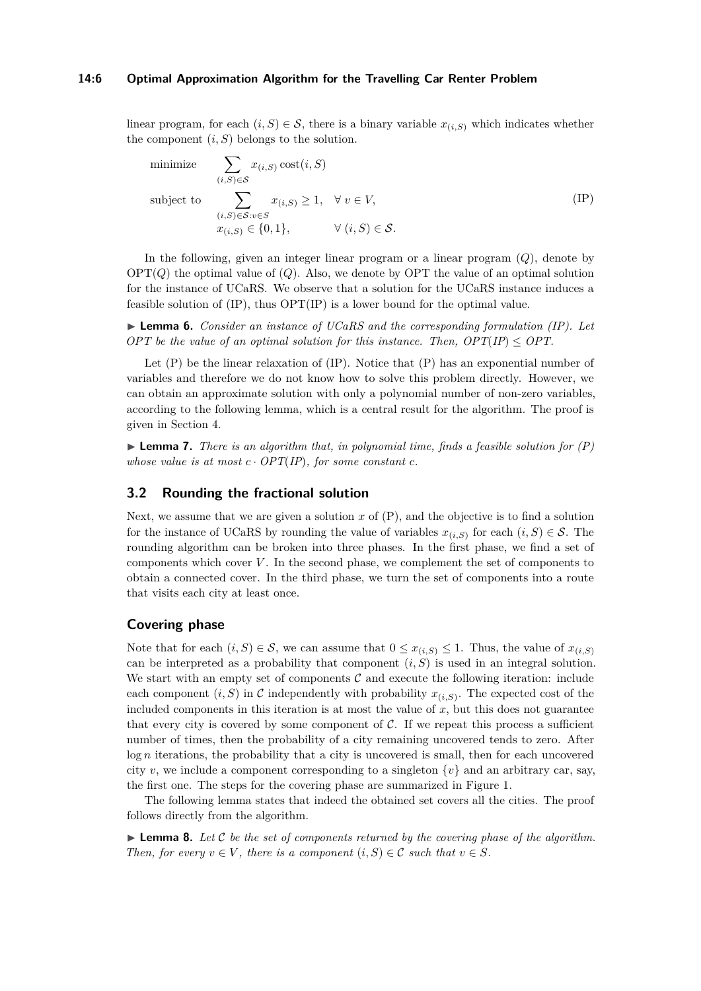#### **14:6 Optimal Approximation Algorithm for the Travelling Car Renter Problem**

linear program, for each  $(i, S) \in \mathcal{S}$ , there is a binary variable  $x_{(i, S)}$  which indicates whether the component  $(i, S)$  belongs to the solution.

minimize 
$$
\sum_{(i,S)\in\mathcal{S}} x_{(i,S)} \operatorname{cost}(i,S)
$$
  
subject to 
$$
\sum_{\substack{(i,S)\in\mathcal{S}:v\in S\\x_{(i,S)}\in\{0,1\},}} x_{(i,S)} \ge 1, \quad \forall v \in V,
$$
 (IP)

In the following, given an integer linear program or a linear program (*Q*), denote by  $\text{OPT}(Q)$  the optimal value of  $(Q)$ . Also, we denote by OPT the value of an optimal solution for the instance of UCaRS. We observe that a solution for the UCaRS instance induces a feasible solution of (IP), thus OPT(IP) is a lower bound for the optimal value.

<span id="page-5-1"></span>I **Lemma 6.** *Consider an instance of UCaRS and the corresponding formulation (IP). Let OPT be the value of an optimal solution for this instance. Then,*  $OPT/IP \leq OPT$ *.* 

Let  $(P)$  be the linear relaxation of  $(P)$ . Notice that  $(P)$  has an exponential number of variables and therefore we do not know how to solve this problem directly. However, we can obtain an approximate solution with only a polynomial number of non-zero variables, according to the following lemma, which is a central result for the algorithm. The proof is given in Section [4.](#page-9-0)

<span id="page-5-0"></span> $\blacktriangleright$  **Lemma 7.** *There is an algorithm that, in polynomial time, finds a feasible solution for*  $(P)$ *whose value is at most*  $c \cdot OPT(\text{IP})$ *, for some constant*  $c$ *.* 

### **3.2 Rounding the fractional solution**

Next, we assume that we are given a solution  $x$  of  $(P)$ , and the objective is to find a solution for the instance of UCaRS by rounding the value of variables  $x_{(i,S)}$  for each  $(i, S) \in \mathcal{S}$ . The rounding algorithm can be broken into three phases. In the first phase, we find a set of components which cover *V* . In the second phase, we complement the set of components to obtain a connected cover. In the third phase, we turn the set of components into a route that visits each city at least once.

## **Covering phase**

Note that for each  $(i, S) \in \mathcal{S}$ , we can assume that  $0 \leq x_{(i,S)} \leq 1$ . Thus, the value of  $x_{(i,S)}$ can be interpreted as a probability that component  $(i, S)$  is used in an integral solution. We start with an empty set of components  $C$  and execute the following iteration: include each component  $(i, S)$  in C independently with probability  $x_{(i,S)}$ . The expected cost of the included components in this iteration is at most the value of  $x$ , but this does not guarantee that every city is covered by some component of  $C$ . If we repeat this process a sufficient number of times, then the probability of a city remaining uncovered tends to zero. After log *n* iterations, the probability that a city is uncovered is small, then for each uncovered city *v*, we include a component corresponding to a singleton  $\{v\}$  and an arbitrary car, say, the first one. The steps for the covering phase are summarized in Figure [1.](#page-6-0)

The following lemma states that indeed the obtained set covers all the cities. The proof follows directly from the algorithm.

 $\blacktriangleright$  **Lemma 8.** Let C be the set of components returned by the covering phase of the algorithm. *Then, for every*  $v \in V$ *, there is a component*  $(i, S) \in \mathcal{C}$  *such that*  $v \in S$ *.*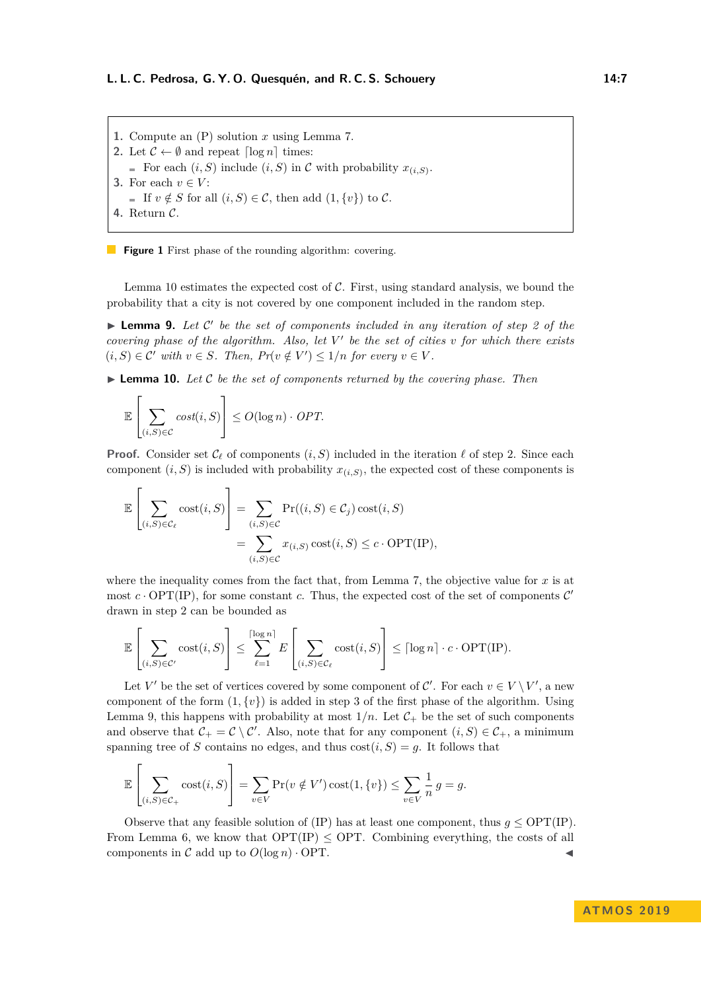<span id="page-6-0"></span>**1.** Compute an (P) solution *x* using Lemma [7.](#page-5-0) **2.** Let  $\mathcal{C} \leftarrow \emptyset$  and repeat  $\lceil \log n \rceil$  times: For each  $(i, S)$  include  $(i, S)$  in C with probability  $x_{(i, S)}$ . **3.** For each  $v \in V$ : ■ If  $v \notin S$  for all  $(i, S) \in \mathcal{C}$ , then add  $(1, \{v\})$  to  $\mathcal{C}$ . **4.** Return C.

**Figure 1** First phase of the rounding algorithm: covering.

Lemma [10](#page-6-1) estimates the expected cost of  $C$ . First, using standard analysis, we bound the probability that a city is not covered by one component included in the random step.

<span id="page-6-2"></span>**Lemma 9.** Let  $C'$  be the set of components included in any iteration of step 2 of the *covering phase of the algorithm. Also, let*  $V'$  *be the set of cities v for which there exists*  $(i, S) \in \mathcal{C}'$  with  $v \in S$ . Then,  $Pr(v \notin V') \leq 1/n$  for every  $v \in V$ .

<span id="page-6-1"></span> $\blacktriangleright$  **Lemma 10.** Let C be the set of components returned by the covering phase. Then

$$
\mathbb{E}\left[\sum_{(i,S)\in\mathcal{C}}cost(i,S)\right] \leq O(\log n) \cdot OPT.
$$

**Proof.** Consider set  $\mathcal{C}_{\ell}$  of components  $(i, S)$  included in the iteration  $\ell$  of step 2. Since each component  $(i, S)$  is included with probability  $x_{(i, S)}$ , the expected cost of these components is

$$
\mathbb{E}\left[\sum_{(i,S)\in\mathcal{C}_{\ell}}\mathrm{cost}(i,S)\right] = \sum_{(i,S)\in\mathcal{C}}\mathrm{Pr}((i,S)\in\mathcal{C}_{j})\,\mathrm{cost}(i,S)
$$

$$
=\sum_{(i,S)\in\mathcal{C}}x_{(i,S)}\,\mathrm{cost}(i,S)\leq c\cdot\mathrm{OPT}(\mathrm{IP}),
$$

where the inequality comes from the fact that, from Lemma [7,](#page-5-0) the objective value for  $x$  is at most  $c \cdot \text{OPT}(\text{IP})$ , for some constant c. Thus, the expected cost of the set of components  $\mathcal{C}'$ drawn in step 2 can be bounded as

$$
\mathbb{E}\left[\sum_{(i,S)\in\mathcal{C}'}\mathrm{cost}(i,S)\right] \leq \sum_{\ell=1}^{\lceil\log n\rceil} E\left[\sum_{(i,S)\in\mathcal{C}_{\ell}}\mathrm{cost}(i,S)\right] \leq \lceil\log n\rceil \cdot c \cdot \mathrm{OPT}(\mathrm{IP}).
$$

Let *V'* be the set of vertices covered by some component of  $\mathcal{C}'$ . For each  $v \in V \setminus V'$ , a new component of the form  $(1, \{v\})$  is added in step 3 of the first phase of the algorithm. Using Lemma [9,](#page-6-2) this happens with probability at most  $1/n$ . Let  $\mathcal{C}_+$  be the set of such components and observe that  $C_+ = C \setminus C'$ . Also, note that for any component  $(i, S) \in C_+$ , a minimum spanning tree of *S* contains no edges, and thus  $cost(i, S) = g$ . It follows that

$$
\mathbb{E}\left[\sum_{(i,S)\in\mathcal{C}_+} \text{cost}(i,S)\right] = \sum_{v\in V} \Pr(v \notin V') \text{cost}(1,\{v\}) \le \sum_{v\in V} \frac{1}{n} g = g.
$$

Observe that any feasible solution of (IP) has at least one component, thus  $g \leq \text{OPT}(\text{IP})$ . From Lemma [6,](#page-5-1) we know that  $OPT/IP) \leq OPT$ . Combining everything, the costs of all components in  $\mathcal C$  add up to  $O(\log n) \cdot \text{OPT}$ .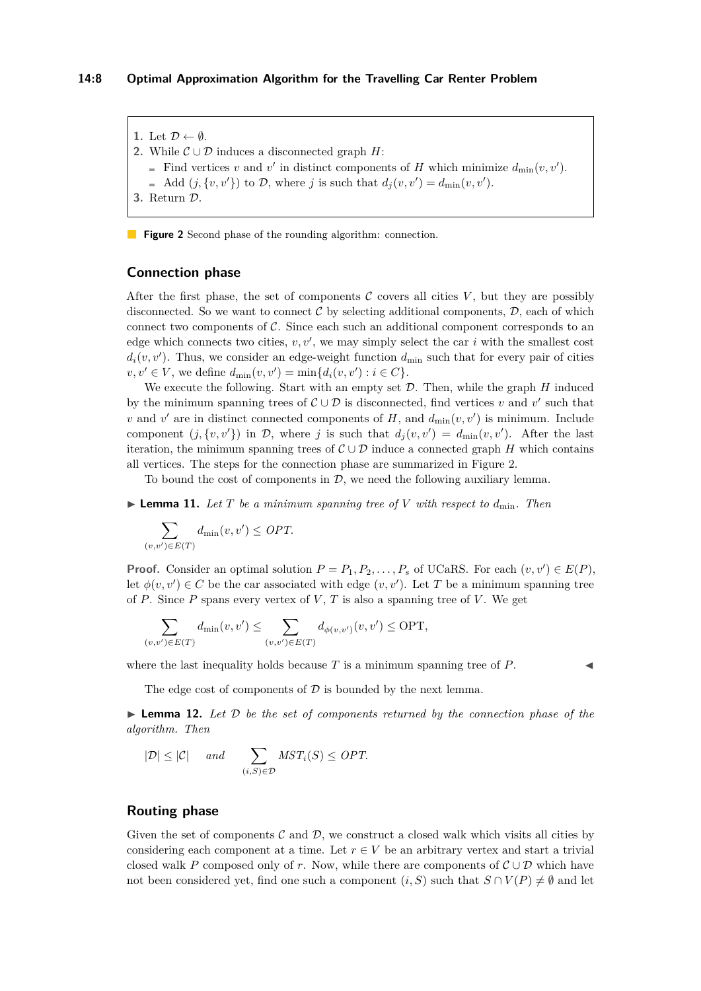<span id="page-7-0"></span>1. Let  $\mathcal{D} \leftarrow \emptyset$ .

- **2.** While  $\mathcal{C} \cup \mathcal{D}$  induces a disconnected graph *H*:
	- Find vertices *v* and *v*' in distinct components of *H* which minimize  $d_{\min}(v, v')$ .
	- Add  $(j, \{v, v'\})$  to  $D$ , where *j* is such that  $d_j(v, v') = d_{\min}(v, v')$ .
- **3.** Return D.

**Figure 2** Second phase of the rounding algorithm: connection.

## **Connection phase**

After the first phase, the set of components  $C$  covers all cities  $V$ , but they are possibly disconnected. So we want to connect  $\mathcal C$  by selecting additional components,  $\mathcal D$ , each of which connect two components of  $\mathcal{C}$ . Since each such an additional component corresponds to an edge which connects two cities,  $v, v'$ , we may simply select the car  $i$  with the smallest cost  $d_i(v, v')$ . Thus, we consider an edge-weight function  $d_{\min}$  such that for every pair of cities  $v, v' \in V$ , we define  $d_{\min}(v, v') = \min\{d_i(v, v') : i \in C\}.$ 

We execute the following. Start with an empty set D. Then, while the graph *H* induced by the minimum spanning trees of  $\mathcal{C} \cup \mathcal{D}$  is disconnected, find vertices *v* and *v*' such that *v* and *v*' are in distinct connected components of *H*, and  $d_{\min}(v, v')$  is minimum. Include component  $(j, \{v, v'\})$  in  $D$ , where *j* is such that  $d_j(v, v') = d_{\min}(v, v')$ . After the last iteration, the minimum spanning trees of  $\mathcal{C} \cup \mathcal{D}$  induce a connected graph *H* which contains all vertices. The steps for the connection phase are summarized in Figure [2.](#page-7-0)

To bound the cost of components in  $\mathcal{D}$ , we need the following auxiliary lemma.

 $\blacktriangleright$  **Lemma 11.** Let  $T$  be a minimum spanning tree of  $V$  with respect to  $d_{\min}$ . Then

$$
\sum_{(v,v') \in E(T)} d_{\min}(v,v') \leq OPT.
$$

**Proof.** Consider an optimal solution  $P = P_1, P_2, \ldots, P_s$  of UCaRS. For each  $(v, v') \in E(P)$ , let  $\phi(v, v') \in C$  be the car associated with edge  $(v, v')$ . Let *T* be a minimum spanning tree of  $P$ . Since  $P$  spans every vertex of  $V$ ,  $T$  is also a spanning tree of  $V$ . We get

$$
\sum_{(v,v') \in E(T)} d_{\min}(v,v') \le \sum_{(v,v') \in E(T)} d_{\phi(v,v')}(v,v') \le \text{OPT},
$$

where the last inequality holds because  $T$  is a minimum spanning tree of  $P$ .

The edge cost of components of  $\mathcal D$  is bounded by the next lemma.

<span id="page-7-1"></span> $\triangleright$  **Lemma 12.** Let  $\mathcal{D}$  be the set of components returned by the connection phase of the *algorithm. Then*

$$
|\mathcal{D}| \leq |\mathcal{C}| \quad \text{and} \quad \sum_{(i,S) \in \mathcal{D}} MST_i(S) \leq OPT.
$$

## **Routing phase**

Given the set of components  $\mathcal C$  and  $\mathcal D$ , we construct a closed walk which visits all cities by considering each component at a time. Let  $r \in V$  be an arbitrary vertex and start a trivial closed walk *P* composed only of *r*. Now, while there are components of  $\mathcal{C} \cup \mathcal{D}$  which have not been considered yet, find one such a component  $(i, S)$  such that  $S \cap V(P) \neq \emptyset$  and let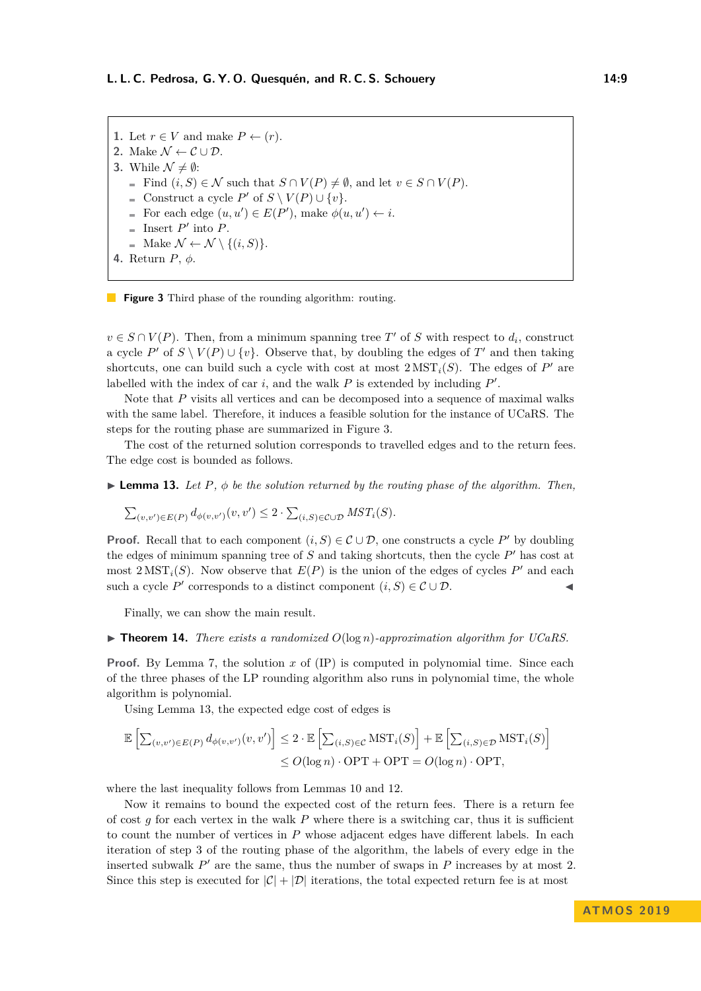<span id="page-8-0"></span>**1.** Let  $r \in V$  and make  $P \leftarrow (r)$ . **2.** Make  $\mathcal{N} \leftarrow \mathcal{C} \cup \mathcal{D}$ . **3.** While  $\mathcal{N} \neq \emptyset$ :  $\blacksquare$  Find  $(i, S) \in \mathcal{N}$  such that  $S \cap V(P) \neq \emptyset$ , and let  $v \in S \cap V(P)$ . Construct a cycle  $P'$  of  $S \setminus V(P) \cup \{v\}.$ For each edge  $(u, u') \in E(P')$ , make  $\phi(u, u') \leftarrow i$ . Insert  $P'$  into  $P$ .  $\blacksquare$  Make  $\mathcal{N} \leftarrow \mathcal{N} \setminus \{(i, S)\}.$ **4.** Return *P*, *φ*.



 $v \in S \cap V(P)$ . Then, from a minimum spanning tree *T*<sup>'</sup> of *S* with respect to  $d_i$ , construct a cycle *P*<sup> $\prime$ </sup> of  $S \setminus V(P) \cup \{v\}$ . Observe that, by doubling the edges of *T*<sup> $\prime$ </sup> and then taking shortcuts, one can build such a cycle with cost at most  $2 \text{ MST}_i(S)$ . The edges of  $P'$  are labelled with the index of car  $i$ , and the walk  $P$  is extended by including  $P'$ .

Note that *P* visits all vertices and can be decomposed into a sequence of maximal walks with the same label. Therefore, it induces a feasible solution for the instance of UCaRS. The steps for the routing phase are summarized in Figure [3.](#page-8-0)

The cost of the returned solution corresponds to travelled edges and to the return fees. The edge cost is bounded as follows.

<span id="page-8-1"></span> $\triangleright$  **Lemma 13.** Let P,  $\phi$  be the solution returned by the routing phase of the algorithm. Then,

$$
\sum_{(v,v')\in E(P)} d_{\phi(v,v')}(v,v') \leq 2 \cdot \sum_{(i,S)\in \mathcal{C} \cup \mathcal{D}} MST_i(S).
$$

**Proof.** Recall that to each component  $(i, S) \in \mathcal{C} \cup \mathcal{D}$ , one constructs a cycle P' by doubling the edges of minimum spanning tree of  $S$  and taking shortcuts, then the cycle  $P'$  has cost at most  $2 \text{ MST}_i(S)$ . Now observe that  $E(P)$  is the union of the edges of cycles  $P'$  and each such a cycle *P*<sup> $\prime$ </sup> corresponds to a distinct component  $(i, S) \in \mathcal{C} \cup \mathcal{D}$ .

Finally, we can show the main result.

 $\triangleright$  **Theorem 14.** *There exists a randomized O*(log *n*)*-approximation algorithm for UCaRS.* 

**Proof.** By Lemma [7,](#page-5-0) the solution *x* of (IP) is computed in polynomial time. Since each of the three phases of the LP rounding algorithm also runs in polynomial time, the whole algorithm is polynomial.

Using Lemma [13,](#page-8-1) the expected edge cost of edges is

$$
\mathbb{E}\left[\sum_{(v,v')\in E(P)} d_{\phi(v,v')}(v,v')\right] \leq 2 \cdot \mathbb{E}\left[\sum_{(i,S)\in \mathcal{C}} \text{MST}_i(S)\right] + \mathbb{E}\left[\sum_{(i,S)\in \mathcal{D}} \text{MST}_i(S)\right]
$$
  

$$
\leq O(\log n) \cdot \text{OPT} + \text{OPT} = O(\log n) \cdot \text{OPT},
$$

where the last inequality follows from Lemmas [10](#page-6-1) and [12.](#page-7-1)

Now it remains to bound the expected cost of the return fees. There is a return fee of cost  $g$  for each vertex in the walk  $P$  where there is a switching car, thus it is sufficient to count the number of vertices in *P* whose adjacent edges have different labels. In each iteration of step 3 of the routing phase of the algorithm, the labels of every edge in the inserted subwalk  $P'$  are the same, thus the number of swaps in  $P$  increases by at most 2. Since this step is executed for  $|\mathcal{C}| + |\mathcal{D}|$  iterations, the total expected return fee is at most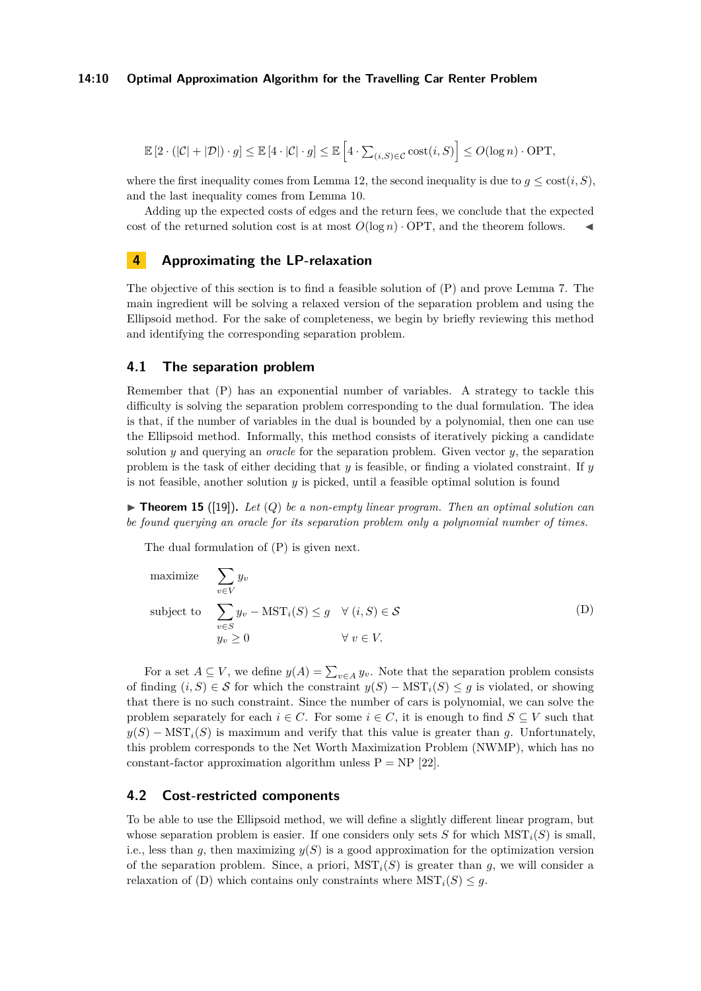$$
\mathbb{E}\left[2\cdot(|\mathcal{C}|+|\mathcal{D}|)\cdot g\right]\leq \mathbb{E}\left[4\cdot|\mathcal{C}|\cdot g\right]\leq \mathbb{E}\left[4\cdot \textstyle\sum_{(i,S)\in\mathcal{C}}\text{cost}(i,S)\right]\leq O(\log n)\cdot \text{OPT},
$$

where the first inequality comes from Lemma [12,](#page-7-1) the second inequality is due to  $q \leq \text{cost}(i, S)$ , and the last inequality comes from Lemma [10.](#page-6-1)

Adding up the expected costs of edges and the return fees, we conclude that the expected cost of the returned solution cost is at most  $O(\log n) \cdot \text{OPT}$ , and the theorem follows.

# <span id="page-9-0"></span>**4 Approximating the LP-relaxation**

The objective of this section is to find a feasible solution of (P) and prove Lemma [7.](#page-5-0) The main ingredient will be solving a relaxed version of the separation problem and using the Ellipsoid method. For the sake of completeness, we begin by briefly reviewing this method and identifying the corresponding separation problem.

#### **4.1 The separation problem**

Remember that (P) has an exponential number of variables. A strategy to tackle this difficulty is solving the separation problem corresponding to the dual formulation. The idea is that, if the number of variables in the dual is bounded by a polynomial, then one can use the Ellipsoid method. Informally, this method consists of iteratively picking a candidate solution *y* and querying an *oracle* for the separation problem. Given vector *y*, the separation problem is the task of either deciding that *y* is feasible, or finding a violated constraint. If *y* is not feasible, another solution *y* is picked, until a feasible optimal solution is found

 $\triangleright$  **Theorem 15** ([\[19\]](#page-13-15)). Let  $(Q)$  be a non-empty linear program. Then an optimal solution can *be found querying an oracle for its separation problem only a polynomial number of times.*

The dual formulation of (P) is given next.

maximize 
$$
\sum_{v \in V} y_v
$$
  
subject to 
$$
\sum_{v \in S} y_v - \text{MST}_i(S) \leq g \quad \forall (i, S) \in S
$$

$$
y_v \geq 0 \qquad \qquad \forall v \in V.
$$
 (D)

For a set  $A \subseteq V$ , we define  $y(A) = \sum_{v \in A} y_v$ . Note that the separation problem consists of finding  $(i, S) \in \mathcal{S}$  for which the constraint  $y(S) - \text{MST}_i(S) \leq g$  is violated, or showing that there is no such constraint. Since the number of cars is polynomial, we can solve the problem separately for each  $i \in C$ . For some  $i \in C$ , it is enough to find  $S \subseteq V$  such that  $y(S)$  − MST<sub>i</sub>(*S*) is maximum and verify that this value is greater than *q*. Unfortunately, this problem corresponds to the Net Worth Maximization Problem (NWMP), which has no constant-factor approximation algorithm unless  $P = NP$  [\[22\]](#page-13-16).

#### **4.2 Cost-restricted components**

To be able to use the Ellipsoid method, we will define a slightly different linear program, but whose separation problem is easier. If one considers only sets *S* for which  $MST<sub>i</sub>(S)$  is small, i.e., less than *g*, then maximizing  $y(S)$  is a good approximation for the optimization version of the separation problem. Since, a priori,  $MST<sub>i</sub>(S)$  is greater than *g*, we will consider a relaxation of (D) which contains only constraints where  $MST_i(S) \leq g$ .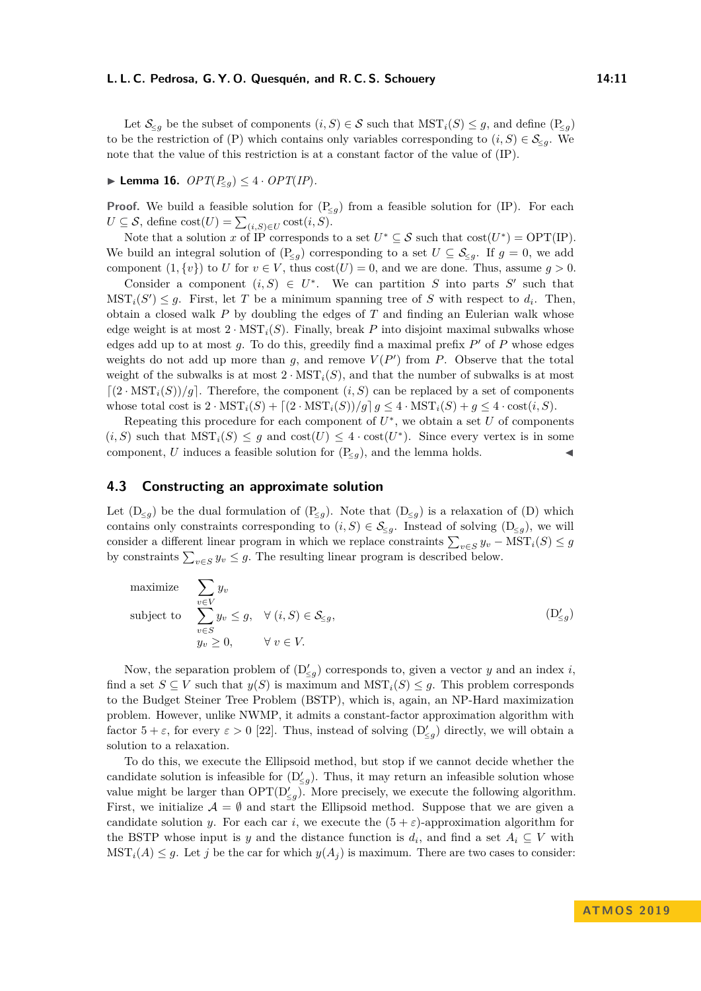Let  $\mathcal{S}_{\leq q}$  be the subset of components  $(i, S) \in \mathcal{S}$  such that  $\mathrm{MST}_i(S) \leq g$ , and define  $(\mathbb{P}_{\leq q})$ to be the restriction of (P) which contains only variables corresponding to  $(i, S) \in \mathcal{S}_{\leq q}$ . We note that the value of this restriction is at a constant factor of the value of (IP).

## <span id="page-10-1"></span>▶ **Lemma 16.**  $OPT(P_{\leq q}) \leq 4 \cdot OPT/IP$ .

**Proof.** We build a feasible solution for  $(P_{\leq g})$  from a feasible solution for (IP). For each  $U \subseteq \mathcal{S}$ , define  $\text{cost}(U) = \sum_{(i,S) \in U} \text{cost}(i, S)$ .

Note that a solution *x* of IP corresponds to a set  $U^* \subseteq S$  such that  $cost(U^*) = OPT(\text{IP})$ . We build an integral solution of  $(P_{\leq q})$  corresponding to a set  $U \subseteq S_{\leq q}$ . If  $q = 0$ , we add component  $(1, \{v\})$  to *U* for  $v \in V$ , thus  $cost(U) = 0$ , and we are done. Thus, assume  $g > 0$ .

Consider a component  $(i, S) \in U^*$ . We can partition *S* into parts *S'* such that  $MST_i(S') \leq g$ . First, let *T* be a minimum spanning tree of *S* with respect to  $d_i$ . Then, obtain a closed walk *P* by doubling the edges of *T* and finding an Eulerian walk whose edge weight is at most  $2 \cdot \text{MST}_i(S)$ . Finally, break P into disjoint maximal subwalks whose edges add up to at most  $g$ . To do this, greedily find a maximal prefix  $P'$  of  $P$  whose edges weights do not add up more than  $g$ , and remove  $V(P')$  from  $P$ . Observe that the total weight of the subwalks is at most  $2 \cdot \text{MST}_i(S)$ , and that the number of subwalks is at most  $\left[ (2 \cdot \text{MST}_i(S))/g \right]$ . Therefore, the component  $(i, S)$  can be replaced by a set of components whose total cost is  $2 \cdot \text{MST}_i(S) + \left[\frac{2 \cdot \text{MST}_i(S)}{q} \right] q \leq 4 \cdot \text{MST}_i(S) + q \leq 4 \cdot \text{cost}(i, S)$ .

Repeating this procedure for each component of  $U^*$ , we obtain a set  $U$  of components  $(i, S)$  such that  $\text{MST}_i(S) \leq g$  and  $\text{cost}(U) \leq 4 \cdot \text{cost}(U^*)$ . Since every vertex is in some component, *U* induces a feasible solution for  $(P_{\leq g})$ , and the lemma holds.

#### <span id="page-10-0"></span>**4.3 Constructing an approximate solution**

Let  $(D_{\leq g})$  be the dual formulation of  $(P_{\leq g})$ . Note that  $(D_{\leq g})$  is a relaxation of  $(D)$  which contains only constraints corresponding to  $(i, S) \in \mathcal{S}_{\leq q}$ . Instead of solving  $(D_{\leq q})$ , we will consider a different linear program in which we replace constraints  $\sum_{v \in S} y_v - \text{MST}_i(S) \leq g$ by constraints  $\sum_{v \in S} y_v \leq g$ . The resulting linear program is described below.

maximize 
$$
\sum_{v \in V} y_v
$$
  
subject to 
$$
\sum_{v \in S} y_v \le g, \quad \forall (i, S) \in \mathcal{S}_{\le g},
$$

$$
y_v \ge 0, \qquad \forall v \in V.
$$
 (D'<sub>g</sub>)

Now, the separation problem of  $(D'_{\leq g})$  corresponds to, given a vector *y* and an index *i*, find a set  $S \subseteq V$  such that  $y(S)$  is maximum and  $\text{MST}_i(S) \leq g$ . This problem corresponds to the Budget Steiner Tree Problem (BSTP), which is, again, an NP-Hard maximization problem. However, unlike NWMP, it admits a constant-factor approximation algorithm with factor  $5 + \varepsilon$ , for every  $\varepsilon > 0$  [\[22\]](#page-13-16). Thus, instead of solving  $(D'_{\leq g})$  directly, we will obtain a solution to a relaxation.

To do this, we execute the Ellipsoid method, but stop if we cannot decide whether the candidate solution is infeasible for  $(D'_{\leq g})$ . Thus, it may return an infeasible solution whose value might be larger than  $\text{OPT}(\mathcal{D}'_{\leq g})$ . More precisely, we execute the following algorithm. First, we initialize  $\mathcal{A} = \emptyset$  and start the Ellipsoid method. Suppose that we are given a candidate solution *y*. For each car *i*, we execute the  $(5 + \varepsilon)$ -approximation algorithm for the BSTP whose input is *y* and the distance function is  $d_i$ , and find a set  $A_i \subseteq V$  with  $MST<sub>i</sub>(A) \leq g$ . Let *j* be the car for which  $y(A<sub>i</sub>)$  is maximum. There are two cases to consider: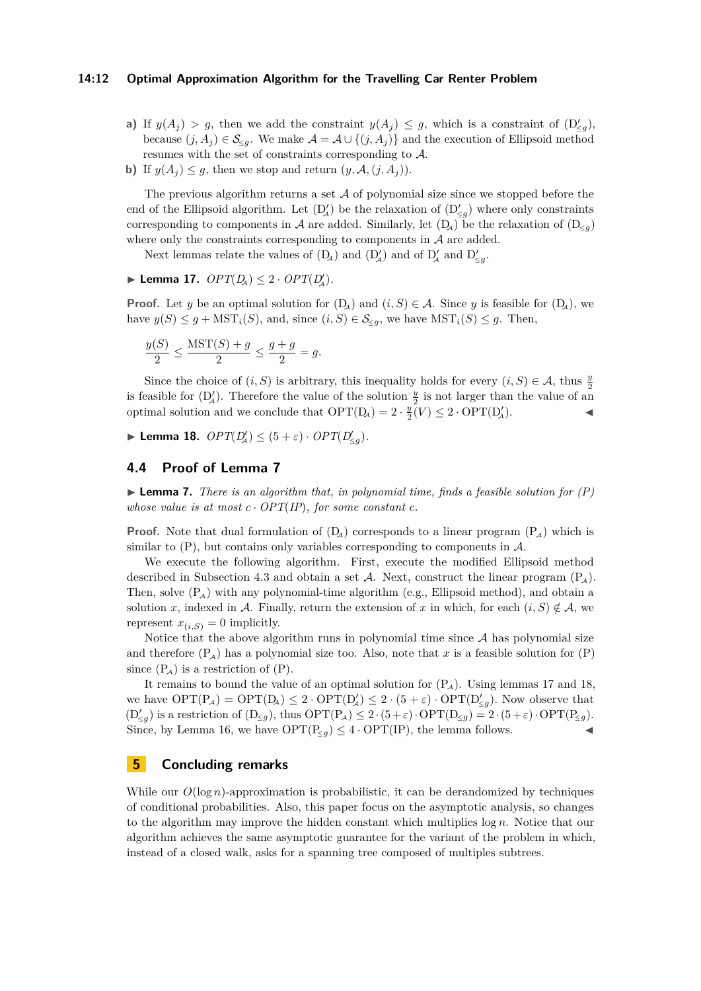#### **14:12 Optimal Approximation Algorithm for the Travelling Car Renter Problem**

- **a)** If  $y(A_j) > g$ , then we add the constraint  $y(A_j) \leq g$ , which is a constraint of  $(D'_{\leq g})$ , because  $(j, A_j) \in \mathcal{S}_{\leq q}$ . We make  $\mathcal{A} = \mathcal{A} \cup \{(j, A_j)\}\$  and the execution of Ellipsoid method resumes with the set of constraints corresponding to A.
- **b)** If  $y(A_j) \leq g$ , then we stop and return  $(y, \mathcal{A}, (j, A_j))$ .

The previous algorithm returns a set  $\mathcal A$  of polynomial size since we stopped before the end of the Ellipsoid algorithm. Let  $(D'_A)$  be the relaxation of  $(D'_{\leq g})$  where only constraints corresponding to components in A are added. Similarly, let  $(D_4)$  be the relaxation of  $(D_{\leq q})$ where only the constraints corresponding to components in  $A$  are added.

Next lemmas relate the values of  $(D_4)$  and  $(D'_4)$  and of  $D'_4$  and  $D'_{\leq g}$ .

<span id="page-11-1"></span>▶ **Lemma 17.**  $OPT(D_A)$  ≤ 2 ·  $OPT(D'_A)$ *.* 

**Proof.** Let *y* be an optimal solution for  $(D_4)$  and  $(i, S) \in \mathcal{A}$ . Since *y* is feasible for  $(D_4)$ , we have  $y(S) \leq g + \text{MST}_i(S)$ , and, since  $(i, S) \in \mathcal{S}_{\leq g}$ , we have  $\text{MST}_i(S) \leq g$ . Then,

$$
\frac{y(S)}{2} \le \frac{\text{MST}(S) + g}{2} \le \frac{g + g}{2} = g.
$$

Since the choice of  $(i, S)$  is arbitrary, this inequality holds for every  $(i, S) \in \mathcal{A}$ , thus  $\frac{y}{2}$ is feasible for  $(D_4')$ . Therefore the value of the solution  $\frac{y}{2}$  is not larger than the value of an optimal solution and we conclude that  $\text{OPT}(D_A) = 2 \cdot \frac{y}{2}(V) \leq 2 \cdot \text{OPT}(D_A')$ .

<span id="page-11-2"></span>**Example 18.**  $OPT(D'_A) \leq (5 + \varepsilon) \cdot OPT(D'_{\leq g}).$ 

#### **4.4 Proof of Lemma [7](#page-5-0)**

I **Lemma 7.** *There is an algorithm that, in polynomial time, finds a feasible solution for (P) whose value is at most*  $c \cdot OPT(\text{IP})$ *, for some constant*  $c$ *.* 

**Proof.** Note that dual formulation of  $(D_4)$  corresponds to a linear program  $(P_4)$  which is similar to  $(P)$ , but contains only variables corresponding to components in  $A$ .

We execute the following algorithm. First, execute the modified Ellipsoid method described in Subsection [4.3](#page-10-0) and obtain a set A. Next, construct the linear program  $(P_4)$ . Then, solve  $(P_A)$  with any polynomial-time algorithm (e.g., Ellipsoid method), and obtain a solution *x*, indexed in A. Finally, return the extension of *x* in which, for each  $(i, S) \notin A$ , we represent  $x_{(i,S)} = 0$  implicitly.

Notice that the above algorithm runs in polynomial time since  $A$  has polynomial size and therefore  $(P_A)$  has a polynomial size too. Also, note that x is a feasible solution for  $(P)$ since  $(P_A)$  is a restriction of  $(P)$ .

It remains to bound the value of an optimal solution for  $(P_A)$ . Using lemmas [17](#page-11-1) and [18,](#page-11-2) we have  $\text{OPT}(P_A) = \text{OPT}(D_A) \leq 2 \cdot \text{OPT}(D_A') \leq 2 \cdot (5 + \varepsilon) \cdot \text{OPT}(D_{\leq g}')$ . Now observe that  $(D'_{\leq g})$  is a restriction of  $(D_{\leq g})$ , thus  $\text{OPT}(P_{\mathcal{A}}) \leq 2 \cdot (5 + \varepsilon) \cdot \text{OPT}(D_{\leq g}) = 2 \cdot (5 + \varepsilon) \cdot \text{OPT}(P_{\leq g})$ . Since, by Lemma [16,](#page-10-1) we have  $\text{OPT}(\text{P}_{\leq q}) \leq 4 \cdot \text{OPT}(\text{IP})$ , the lemma follows.

## <span id="page-11-0"></span>**5 Concluding remarks**

While our  $O(\log n)$ -approximation is probabilistic, it can be derandomized by techniques of conditional probabilities. Also, this paper focus on the asymptotic analysis, so changes to the algorithm may improve the hidden constant which multiplies log *n*. Notice that our algorithm achieves the same asymptotic guarantee for the variant of the problem in which, instead of a closed walk, asks for a spanning tree composed of multiples subtrees.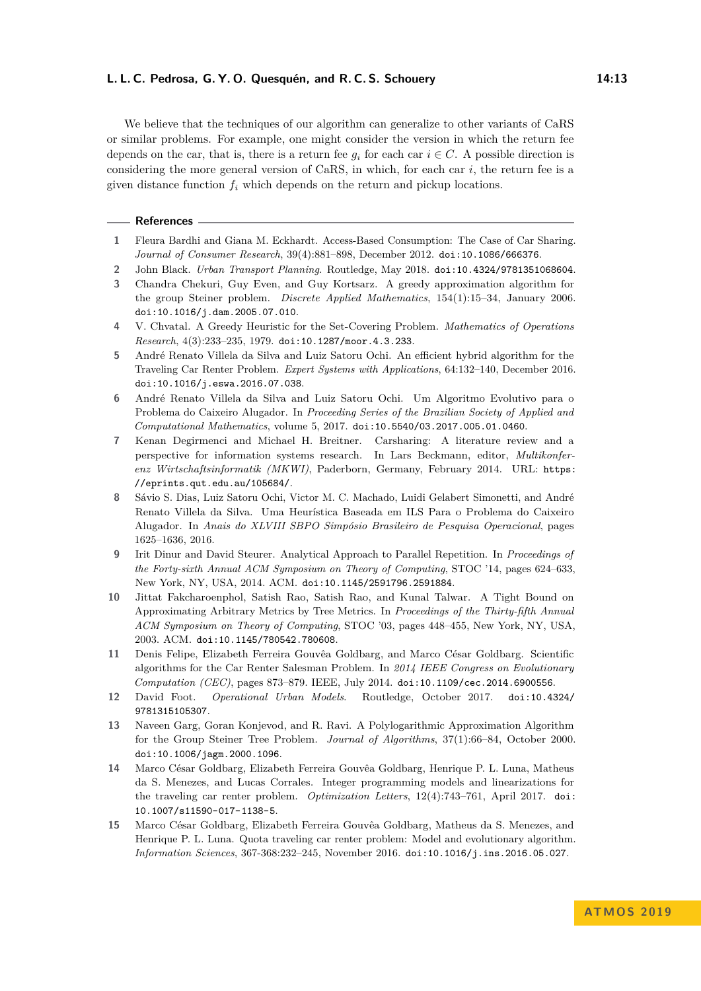We believe that the techniques of our algorithm can generalize to other variants of CaRS or similar problems. For example, one might consider the version in which the return fee depends on the car, that is, there is a return fee  $q_i$  for each car  $i \in C$ . A possible direction is considering the more general version of CaRS, in which, for each car *i*, the return fee is a given distance function *f<sup>i</sup>* which depends on the return and pickup locations.

#### **References**

- <span id="page-12-3"></span>**1** Fleura Bardhi and Giana M. Eckhardt. Access-Based Consumption: The Case of Car Sharing. *Journal of Consumer Research*, 39(4):881–898, December 2012. [doi:10.1086/666376](http://dx.doi.org/10.1086/666376).
- <span id="page-12-1"></span>**2** John Black. *Urban Transport Planning*. Routledge, May 2018. [doi:10.4324/9781351068604](http://dx.doi.org/10.4324/9781351068604).
- <span id="page-12-14"></span>**3** Chandra Chekuri, Guy Even, and Guy Kortsarz. A greedy approximation algorithm for the group Steiner problem. *Discrete Applied Mathematics*, 154(1):15–34, January 2006. [doi:10.1016/j.dam.2005.07.010](http://dx.doi.org/10.1016/j.dam.2005.07.010).
- <span id="page-12-13"></span>**4** V. Chvatal. A Greedy Heuristic for the Set-Covering Problem. *Mathematics of Operations Research*, 4(3):233–235, 1979. [doi:10.1287/moor.4.3.233](http://dx.doi.org/10.1287/moor.4.3.233).
- <span id="page-12-5"></span>**5** André Renato Villela da Silva and Luiz Satoru Ochi. An efficient hybrid algorithm for the Traveling Car Renter Problem. *Expert Systems with Applications*, 64:132–140, December 2016. [doi:10.1016/j.eswa.2016.07.038](http://dx.doi.org/10.1016/j.eswa.2016.07.038).
- <span id="page-12-11"></span>**6** André Renato Villela da Silva and Luiz Satoru Ochi. Um Algoritmo Evolutivo para o Problema do Caixeiro Alugador. In *Proceeding Series of the Brazilian Society of Applied and Computational Mathematics*, volume 5, 2017. [doi:10.5540/03.2017.005.01.0460](http://dx.doi.org/10.5540/03.2017.005.01.0460).
- <span id="page-12-2"></span>**7** Kenan Degirmenci and Michael H. Breitner. Carsharing: A literature review and a perspective for information systems research. In Lars Beckmann, editor, *Multikonferenz Wirtschaftsinformatik (MKWI)*, Paderborn, Germany, February 2014. URL: [https:](https://eprints.qut.edu.au/105684/) [//eprints.qut.edu.au/105684/](https://eprints.qut.edu.au/105684/).
- <span id="page-12-10"></span>**8** Sávio S. Dias, Luiz Satoru Ochi, Victor M. C. Machado, Luidi Gelabert Simonetti, and André Renato Villela da Silva. Uma Heurística Baseada em ILS Para o Problema do Caixeiro Alugador. In *Anais do XLVIII SBPO Simpósio Brasileiro de Pesquisa Operacional*, pages 1625–1636, 2016.
- <span id="page-12-6"></span>**9** Irit Dinur and David Steurer. Analytical Approach to Parallel Repetition. In *Proceedings of the Forty-sixth Annual ACM Symposium on Theory of Computing*, STOC '14, pages 624–633, New York, NY, USA, 2014. ACM. [doi:10.1145/2591796.2591884](http://dx.doi.org/10.1145/2591796.2591884).
- <span id="page-12-8"></span>**10** Jittat Fakcharoenphol, Satish Rao, Satish Rao, and Kunal Talwar. A Tight Bound on Approximating Arbitrary Metrics by Tree Metrics. In *Proceedings of the Thirty-fifth Annual ACM Symposium on Theory of Computing*, STOC '03, pages 448–455, New York, NY, USA, 2003. ACM. [doi:10.1145/780542.780608](http://dx.doi.org/10.1145/780542.780608).
- <span id="page-12-9"></span>**11** Denis Felipe, Elizabeth Ferreira Gouvêa Goldbarg, and Marco César Goldbarg. Scientific algorithms for the Car Renter Salesman Problem. In *2014 IEEE Congress on Evolutionary Computation (CEC)*, pages 873–879. IEEE, July 2014. [doi:10.1109/cec.2014.6900556](http://dx.doi.org/10.1109/cec.2014.6900556).
- <span id="page-12-0"></span>**12** David Foot. *Operational Urban Models*. Routledge, October 2017. [doi:10.4324/](http://dx.doi.org/10.4324/9781315105307) [9781315105307](http://dx.doi.org/10.4324/9781315105307).
- <span id="page-12-7"></span>**13** Naveen Garg, Goran Konjevod, and R. Ravi. A Polylogarithmic Approximation Algorithm for the Group Steiner Tree Problem. *Journal of Algorithms*, 37(1):66–84, October 2000. [doi:10.1006/jagm.2000.1096](http://dx.doi.org/10.1006/jagm.2000.1096).
- <span id="page-12-12"></span>**14** Marco César Goldbarg, Elizabeth Ferreira Gouvêa Goldbarg, Henrique P. L. Luna, Matheus da S. Menezes, and Lucas Corrales. Integer programming models and linearizations for the traveling car renter problem. *Optimization Letters*, 12(4):743–761, April 2017. [doi:](http://dx.doi.org/10.1007/s11590-017-1138-5) [10.1007/s11590-017-1138-5](http://dx.doi.org/10.1007/s11590-017-1138-5).
- <span id="page-12-4"></span>**15** Marco César Goldbarg, Elizabeth Ferreira Gouvêa Goldbarg, Matheus da S. Menezes, and Henrique P. L. Luna. Quota traveling car renter problem: Model and evolutionary algorithm. *Information Sciences*, 367-368:232–245, November 2016. [doi:10.1016/j.ins.2016.05.027](http://dx.doi.org/10.1016/j.ins.2016.05.027).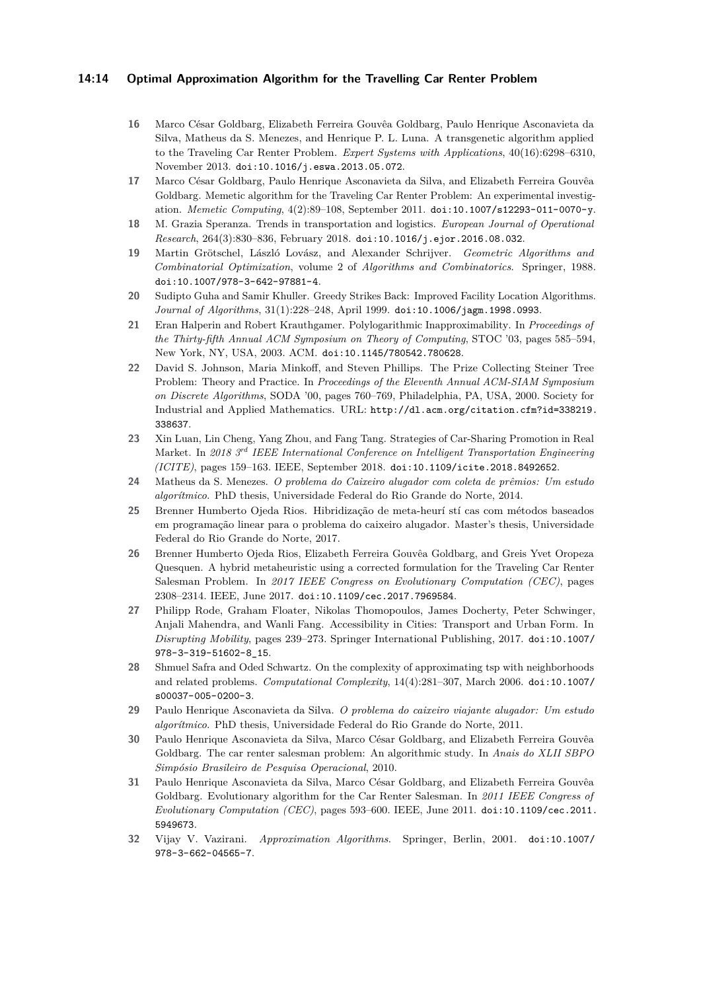#### **14:14 Optimal Approximation Algorithm for the Travelling Car Renter Problem**

- <span id="page-13-10"></span>**16** Marco César Goldbarg, Elizabeth Ferreira Gouvêa Goldbarg, Paulo Henrique Asconavieta da Silva, Matheus da S. Menezes, and Henrique P. L. Luna. A transgenetic algorithm applied to the Traveling Car Renter Problem. *Expert Systems with Applications*, 40(16):6298–6310, November 2013. [doi:10.1016/j.eswa.2013.05.072](http://dx.doi.org/10.1016/j.eswa.2013.05.072).
- <span id="page-13-4"></span>**17** Marco César Goldbarg, Paulo Henrique Asconavieta da Silva, and Elizabeth Ferreira Gouvêa Goldbarg. Memetic algorithm for the Traveling Car Renter Problem: An experimental investigation. *Memetic Computing*, 4(2):89–108, September 2011. [doi:10.1007/s12293-011-0070-y](http://dx.doi.org/10.1007/s12293-011-0070-y).
- <span id="page-13-0"></span>**18** M. Grazia Speranza. Trends in transportation and logistics. *European Journal of Operational Research*, 264(3):830–836, February 2018. [doi:10.1016/j.ejor.2016.08.032](http://dx.doi.org/10.1016/j.ejor.2016.08.032).
- <span id="page-13-15"></span>**19** Martin Grötschel, László Lovász, and Alexander Schrijver. *Geometric Algorithms and Combinatorial Optimization*, volume 2 of *Algorithms and Combinatorics*. Springer, 1988. [doi:10.1007/978-3-642-97881-4](http://dx.doi.org/10.1007/978-3-642-97881-4).
- <span id="page-13-7"></span>**20** Sudipto Guha and Samir Khuller. Greedy Strikes Back: Improved Facility Location Algorithms. *Journal of Algorithms*, 31(1):228–248, April 1999. [doi:10.1006/jagm.1998.0993](http://dx.doi.org/10.1006/jagm.1998.0993).
- <span id="page-13-14"></span>**21** Eran Halperin and Robert Krauthgamer. Polylogarithmic Inapproximability. In *Proceedings of the Thirty-fifth Annual ACM Symposium on Theory of Computing*, STOC '03, pages 585–594, New York, NY, USA, 2003. ACM. [doi:10.1145/780542.780628](http://dx.doi.org/10.1145/780542.780628).
- <span id="page-13-16"></span>**22** David S. Johnson, Maria Minkoff, and Steven Phillips. The Prize Collecting Steiner Tree Problem: Theory and Practice. In *Proceedings of the Eleventh Annual ACM-SIAM Symposium on Discrete Algorithms*, SODA '00, pages 760–769, Philadelphia, PA, USA, 2000. Society for Industrial and Applied Mathematics. URL: [http://dl.acm.org/citation.cfm?id=338219.](http://dl.acm.org/citation.cfm?id=338219.338637) [338637](http://dl.acm.org/citation.cfm?id=338219.338637).
- <span id="page-13-2"></span>**23** Xin Luan, Lin Cheng, Yang Zhou, and Fang Tang. Strategies of Car-Sharing Promotion in Real Market. In *2018 3rd IEEE International Conference on Intelligent Transportation Engineering (ICITE)*, pages 159–163. IEEE, September 2018. [doi:10.1109/icite.2018.8492652](http://dx.doi.org/10.1109/icite.2018.8492652).
- <span id="page-13-11"></span>**24** Matheus da S. Menezes. *O problema do Caixeiro alugador com coleta de prêmios: Um estudo algorítmico*. PhD thesis, Universidade Federal do Rio Grande do Norte, 2014.
- <span id="page-13-12"></span>**25** Brenner Humberto Ojeda Rios. Hibridização de meta-heurí stí cas com métodos baseados em programação linear para o problema do caixeiro alugador. Master's thesis, Universidade Federal do Rio Grande do Norte, 2017.
- <span id="page-13-5"></span>**26** Brenner Humberto Ojeda Rios, Elizabeth Ferreira Gouvêa Goldbarg, and Greis Yvet Oropeza Quesquen. A hybrid metaheuristic using a corrected formulation for the Traveling Car Renter Salesman Problem. In *2017 IEEE Congress on Evolutionary Computation (CEC)*, pages 2308–2314. IEEE, June 2017. [doi:10.1109/cec.2017.7969584](http://dx.doi.org/10.1109/cec.2017.7969584).
- <span id="page-13-1"></span>**27** Philipp Rode, Graham Floater, Nikolas Thomopoulos, James Docherty, Peter Schwinger, Anjali Mahendra, and Wanli Fang. Accessibility in Cities: Transport and Urban Form. In *Disrupting Mobility*, pages 239–273. Springer International Publishing, 2017. [doi:10.1007/](http://dx.doi.org/10.1007/978-3-319-51602-8_15) [978-3-319-51602-8\\_15](http://dx.doi.org/10.1007/978-3-319-51602-8_15).
- <span id="page-13-13"></span>**28** Shmuel Safra and Oded Schwartz. On the complexity of approximating tsp with neighborhoods and related problems. *Computational Complexity*, 14(4):281–307, March 2006. [doi:10.1007/](http://dx.doi.org/10.1007/s00037-005-0200-3) [s00037-005-0200-3](http://dx.doi.org/10.1007/s00037-005-0200-3).
- <span id="page-13-9"></span>**29** Paulo Henrique Asconavieta da Silva. *O problema do caixeiro viajante alugador: Um estudo algorítmico*. PhD thesis, Universidade Federal do Rio Grande do Norte, 2011.
- <span id="page-13-8"></span>**30** Paulo Henrique Asconavieta da Silva, Marco César Goldbarg, and Elizabeth Ferreira Gouvêa Goldbarg. The car renter salesman problem: An algorithmic study. In *Anais do XLII SBPO Simpósio Brasileiro de Pesquisa Operacional*, 2010.
- <span id="page-13-3"></span>**31** Paulo Henrique Asconavieta da Silva, Marco César Goldbarg, and Elizabeth Ferreira Gouvêa Goldbarg. Evolutionary algorithm for the Car Renter Salesman. In *2011 IEEE Congress of Evolutionary Computation (CEC)*, pages 593–600. IEEE, June 2011. [doi:10.1109/cec.2011.](http://dx.doi.org/10.1109/cec.2011.5949673) [5949673](http://dx.doi.org/10.1109/cec.2011.5949673).
- <span id="page-13-6"></span>**32** Vijay V. Vazirani. *Approximation Algorithms*. Springer, Berlin, 2001. [doi:10.1007/](http://dx.doi.org/10.1007/978-3-662-04565-7) [978-3-662-04565-7](http://dx.doi.org/10.1007/978-3-662-04565-7).